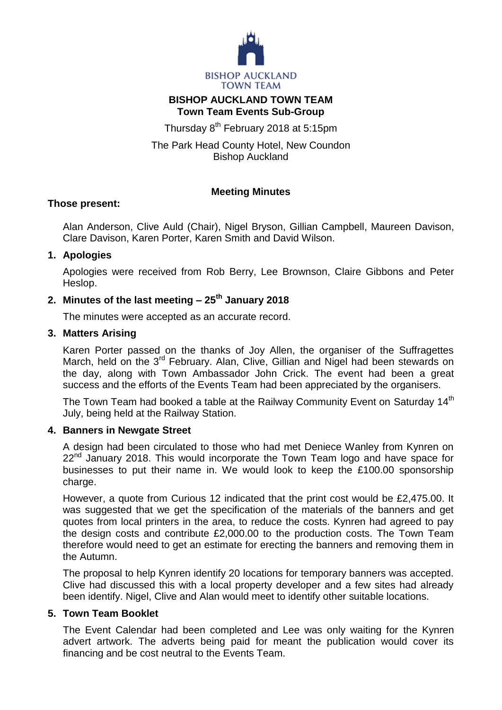

# **BISHOP AUCKLAND TOWN TEAM Town Team Events Sub-Group**

Thursday 8<sup>th</sup> February 2018 at 5:15pm

The Park Head County Hotel, New Coundon Bishop Auckland

# **Meeting Minutes**

### **Those present:**

Alan Anderson, Clive Auld (Chair), Nigel Bryson, Gillian Campbell, Maureen Davison, Clare Davison, Karen Porter, Karen Smith and David Wilson.

# **1. Apologies**

Apologies were received from Rob Berry, Lee Brownson, Claire Gibbons and Peter Heslop.

# **2. Minutes of the last meeting – 25th January 2018**

The minutes were accepted as an accurate record.

### **3. Matters Arising**

Karen Porter passed on the thanks of Joy Allen, the organiser of the Suffragettes March, held on the 3<sup>rd</sup> February. Alan, Clive, Gillian and Nigel had been stewards on the day, along with Town Ambassador John Crick. The event had been a great success and the efforts of the Events Team had been appreciated by the organisers.

The Town Team had booked a table at the Railway Community Event on Saturday 14<sup>th</sup> July, being held at the Railway Station.

#### **4. Banners in Newgate Street**

A design had been circulated to those who had met Deniece Wanley from Kynren on 22<sup>nd</sup> January 2018. This would incorporate the Town Team logo and have space for businesses to put their name in. We would look to keep the £100.00 sponsorship charge.

However, a quote from Curious 12 indicated that the print cost would be £2,475.00. It was suggested that we get the specification of the materials of the banners and get quotes from local printers in the area, to reduce the costs. Kynren had agreed to pay the design costs and contribute £2,000.00 to the production costs. The Town Team therefore would need to get an estimate for erecting the banners and removing them in the Autumn.

The proposal to help Kynren identify 20 locations for temporary banners was accepted. Clive had discussed this with a local property developer and a few sites had already been identify. Nigel, Clive and Alan would meet to identify other suitable locations.

# **5. Town Team Booklet**

The Event Calendar had been completed and Lee was only waiting for the Kynren advert artwork. The adverts being paid for meant the publication would cover its financing and be cost neutral to the Events Team.